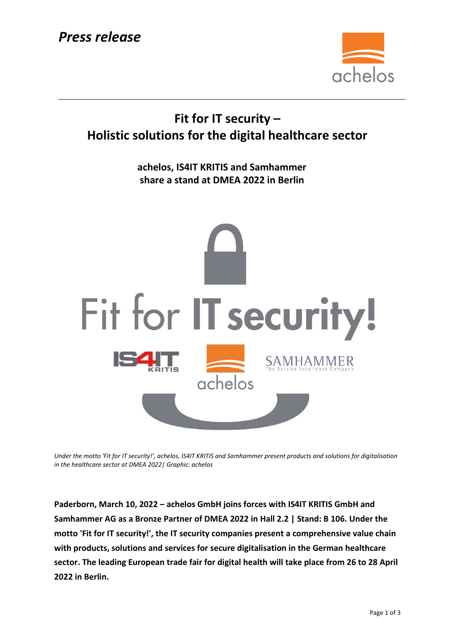

## **Fit for IT security – Holistic solutions for the digital healthcare sector**

**achelos, IS4IT KRITIS and Samhammer share a stand at DMEA 2022 in Berlin**



*Under the motto 'Fit for IT security!', achelos, IS4IT KRITIS and Samhammer present products and solutions for digitalisation in the healthcare sector at DMEA 2022| Graphic: achelos*

**Paderborn, March 10, 2022 – achelos GmbH joins forces with IS4IT KRITIS GmbH and Samhammer AG as a Bronze Partner of DMEA 2022 in Hall 2.2 | Stand: B 106. Under the motto 'Fit for IT security!', the IT security companies present a comprehensive value chain with products, solutions and services for secure digitalisation in the German healthcare sector. The leading European trade fair for digital health will take place from 26 to 28 April 2022 in Berlin.**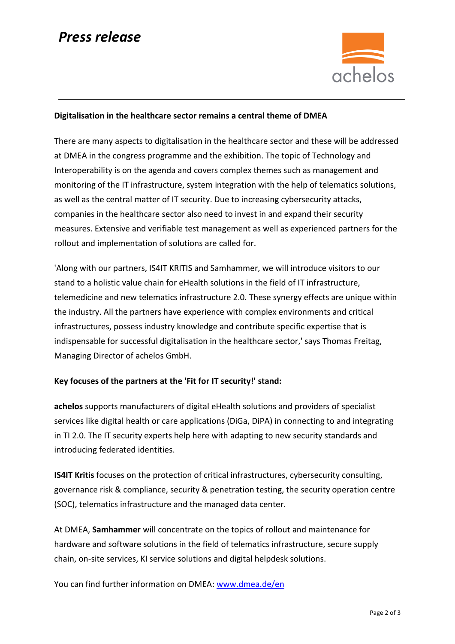# *Press release*



### **Digitalisation in the healthcare sector remains a central theme of DMEA**

There are many aspects to digitalisation in the healthcare sector and these will be addressed at DMEA in the congress programme and the exhibition. The topic of Technology and Interoperability is on the agenda and covers complex themes such as management and monitoring of the IT infrastructure, system integration with the help of telematics solutions, as well as the central matter of IT security. Due to increasing cybersecurity attacks, companies in the healthcare sector also need to invest in and expand their security measures. Extensive and verifiable test management as well as experienced partners for the rollout and implementation of solutions are called for.

'Along with our partners, IS4IT KRITIS and Samhammer, we will introduce visitors to our stand to a holistic value chain for eHealth solutions in the field of IT infrastructure, telemedicine and new telematics infrastructure 2.0. These synergy effects are unique within the industry. All the partners have experience with complex environments and critical infrastructures, possess industry knowledge and contribute specific expertise that is indispensable for successful digitalisation in the healthcare sector,' says Thomas Freitag, Managing Director of achelos GmbH.

### **Key focuses of the partners at the 'Fit for IT security!' stand:**

**achelos** supports manufacturers of digital eHealth solutions and providers of specialist services like digital health or care applications (DiGa, DiPA) in connecting to and integrating in TI 2.0. The IT security experts help here with adapting to new security standards and introducing federated identities.

**IS4IT Kritis** focuses on the protection of critical infrastructures, cybersecurity consulting, governance risk & compliance, security & penetration testing, the security operation centre (SOC), telematics infrastructure and the managed data center.

At DMEA, **Samhammer** will concentrate on the topics of rollout and maintenance for hardware and software solutions in the field of telematics infrastructure, secure supply chain, on-site services, KI service solutions and digital helpdesk solutions.

You can find further information on DMEA: [www.dmea.de/en](https://www.dmea.de/en/)